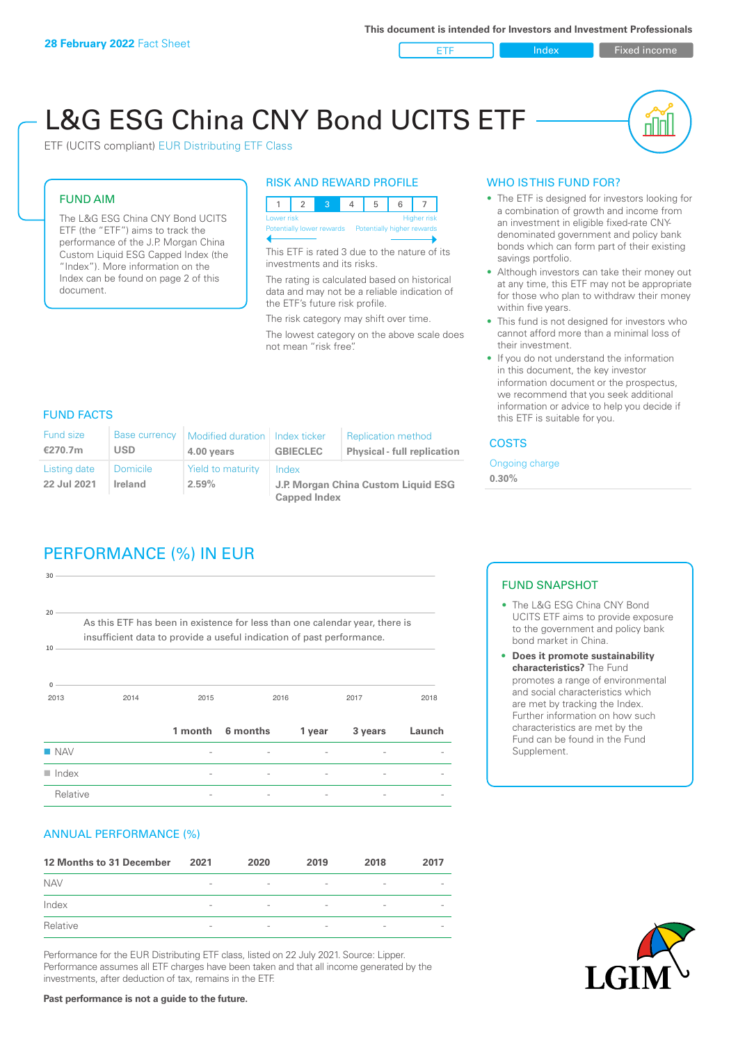ETF Index Fixed income

nl Inl

# L&G ESG China CNY Bond UCITS ETF

ETF (UCITS compliant) EUR Distributing ETF Class

### FUND AIM

The L&G ESG China CNY Bond UCITS ETF (the "ETF") aims to track the performance of the J.P. Morgan China Custom Liquid ESG Capped Index (the "Index"). More information on the Index can be found on page 2 of this document.

#### RISK AND REWARD PROFILE



This ETF is rated 3 due to the nature of its investments and its risks.

The rating is calculated based on historical data and may not be a reliable indication of the ETF's future risk profile.

The risk category may shift over time. The lowest category on the above scale does not mean "risk free".

#### WHO IS THIS FUND FOR?

- The ETF is designed for investors looking for a combination of growth and income from an investment in eligible fixed-rate CNYdenominated government and policy bank bonds which can form part of their existing savings portfolio.
- Although investors can take their money out at any time, this ETF may not be appropriate for those who plan to withdraw their money within five years.
- This fund is not designed for investors who cannot afford more than a minimal loss of their investment.
- If you do not understand the information in this document, the key investor information document or the prospectus, we recommend that you seek additional information or advice to help you decide if this ETF is suitable for you.

#### FUND FACTS

| <b>Fund size</b><br>€270.7m | <b>Base currency</b><br><b>USD</b> | Modified duration   Index ticker<br>4.00 years | <b>GBIECLEC</b>                              | <b>Replication method</b><br><b>Physical - full replication</b> | <b>COSTS</b> |
|-----------------------------|------------------------------------|------------------------------------------------|----------------------------------------------|-----------------------------------------------------------------|--------------|
| Listing date<br>22 Jul 2021 | <b>Domicile</b><br>Ireland         | Yield to maturity<br>2.59%                     | Index<br>J.P. Morgan China Custom Liquid ESG | Ongoing<br>0.30%                                                |              |
|                             |                                    |                                                | <b>Capped Index</b>                          |                                                                 |              |

## PERFORMANCE (%) IN EUR

| $30 -$                |                                                                                                                                                      |         |          |        |         |        |
|-----------------------|------------------------------------------------------------------------------------------------------------------------------------------------------|---------|----------|--------|---------|--------|
| 20 <sup>1</sup><br>10 | As this ETF has been in existence for less than one calendar year, there is<br>insufficient data to provide a useful indication of past performance. |         |          |        |         |        |
| $\Omega$<br>2013      | 2014                                                                                                                                                 | 2015    |          | 2016   | 2017    | 2018   |
|                       |                                                                                                                                                      | 1 month | 6 months | 1 year | 3 years | Launch |
| <b>NAV</b>            |                                                                                                                                                      |         |          |        |         |        |
| $\blacksquare$ Index  |                                                                                                                                                      |         |          |        |         |        |
| Relative              |                                                                                                                                                      |         |          |        |         |        |

#### ANNUAL PERFORMANCE (%)

| 12 Months to 31 December | 2021                     | 2020                     | 2019                     | 2018                     | 2017                     |
|--------------------------|--------------------------|--------------------------|--------------------------|--------------------------|--------------------------|
| <b>NAV</b>               | $\overline{\phantom{0}}$ | $\overline{\phantom{a}}$ | $\overline{\phantom{a}}$ | $\qquad \qquad$          |                          |
| Index                    | $\qquad \qquad$          | $\overline{\phantom{a}}$ | $\overline{\phantom{a}}$ | $\overline{\phantom{a}}$ | $\overline{\phantom{a}}$ |
| Relative                 | $\overline{\phantom{a}}$ | $\sim$                   | $\overline{\phantom{a}}$ | $\sim$                   | $\overline{\phantom{a}}$ |

Performance for the EUR Distributing ETF class, listed on 22 July 2021. Source: Lipper. Performance assumes all ETF charges have been taken and that all income generated by the investments, after deduction of tax, remains in the ETF.

ng charge

#### FUND SNAPSHOT

- The L&G ESG China CNY Bond UCITS ETF aims to provide exposure to the government and policy bank bond market in China.
- **• Does it promote sustainability characteristics?** The Fund promotes a range of environmental and social characteristics which are met by tracking the Index. Further information on how such characteristics are met by the Fund can be found in the Fund Supplement.



**Past performance is not a guide to the future.**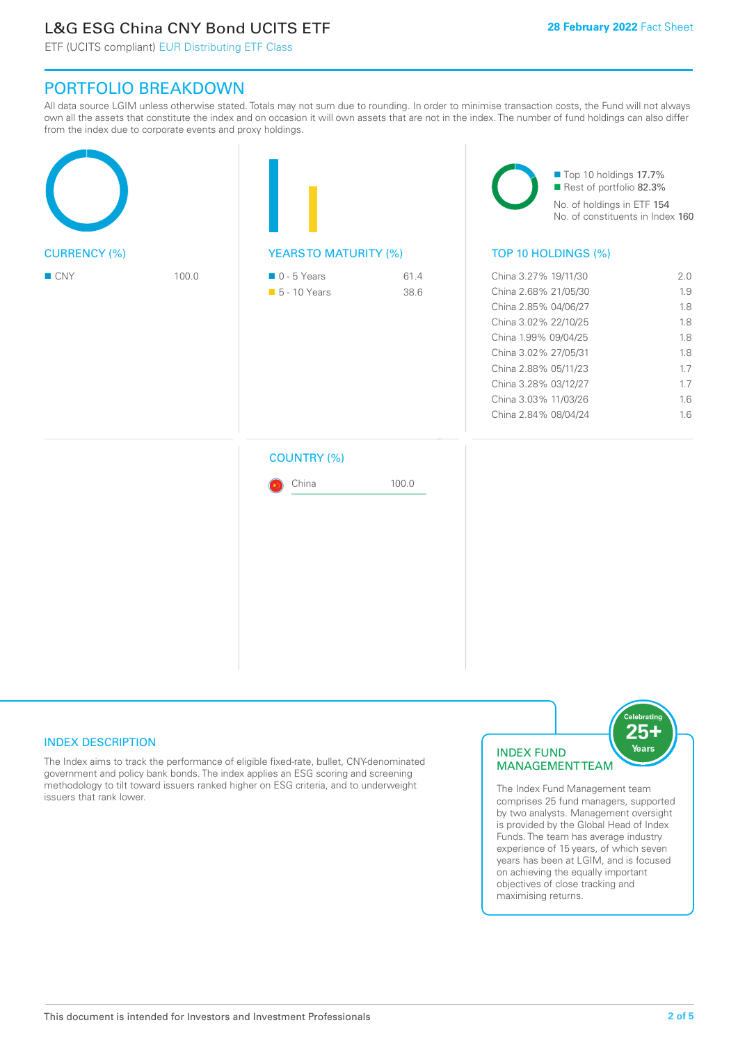### L&G ESG China CNY Bond UCITS ETF

ETF (UCITS compliant) EUR Distributing ETF Class

### PORTFOLIO BREAKDOWN

All data source LGIM unless otherwise stated. Totals may not sum due to rounding. In order to minimise transaction costs, the Fund will not always own all the assets that constitute the index and on occasion it will own assets that are not in the index. The number of fund holdings can also differ from the index due to corporate events and proxy holdings.

| <b>CURRENCY (%)</b> |  | <b>YEARSTO MATURITY (%)</b> |       | Top 10 holdings 17.7%<br>Rest of portfolio 82.3%<br>No. of holdings in ETF 154<br>No. of constituents in Index 160<br>TOP 10 HOLDINGS (%) |  |  |
|---------------------|--|-----------------------------|-------|-------------------------------------------------------------------------------------------------------------------------------------------|--|--|
|                     |  |                             |       |                                                                                                                                           |  |  |
|                     |  | <b>COUNTRY (%)</b><br>China | 100.0 |                                                                                                                                           |  |  |

#### INDEX DESCRIPTION

The Index aims to track the performance of eligible fixed-rate, bullet, CNY-denominated government and policy bank bonds. The index applies an ESG scoring and screening methodology to tilt toward issuers ranked higher on ESG criteria, and to underweight issuers that rank lower.

#### INDEX FUND MANAGEMENT TEAM



The Index Fund Management team comprises 25 fund managers, supported by two analysts. Management oversight is provided by the Global Head of Index Funds. The team has average industry experience of 15 years, of which seven years has been at LGIM, and is focused on achieving the equally important objectives of close tracking and maximising returns.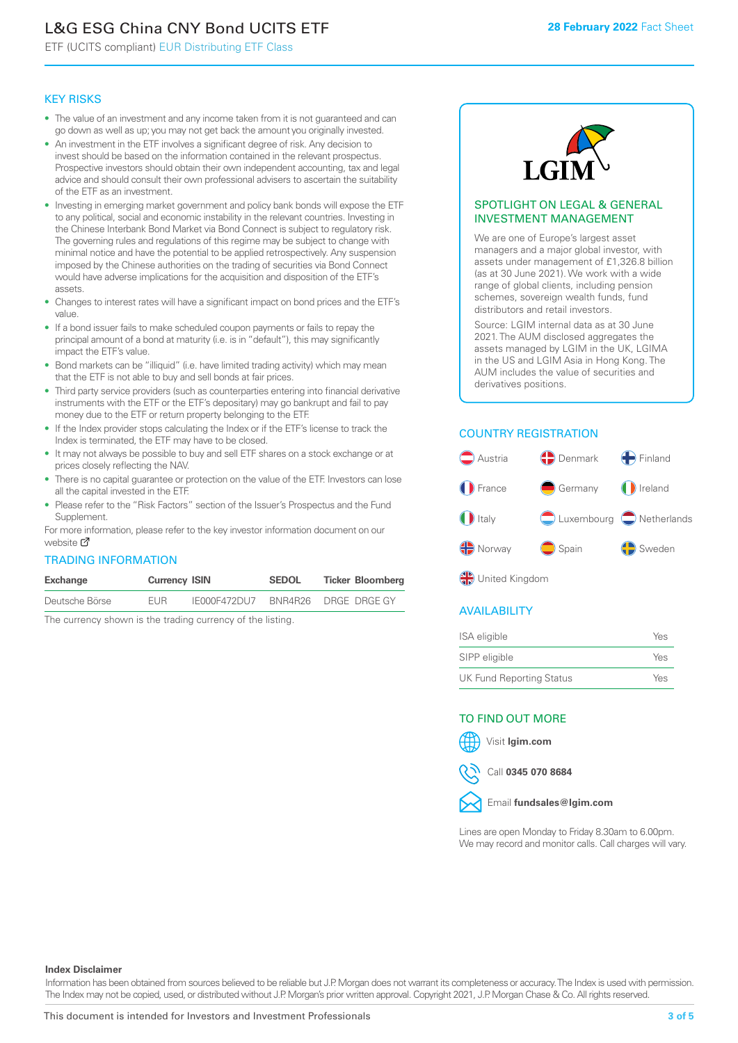## L&G ESG China CNY Bond UCITS ETF

ETF (UCITS compliant) EUR Distributing ETF Class

#### KEY RISKS

- The value of an investment and any income taken from it is not guaranteed and can go down as well as up; you may not get back the amount you originally invested.
- An investment in the ETF involves a significant degree of risk. Any decision to invest should be based on the information contained in the relevant prospectus. Prospective investors should obtain their own independent accounting, tax and legal advice and should consult their own professional advisers to ascertain the suitability of the ETF as an investment.
- Investing in emerging market government and policy bank bonds will expose the ETF to any political, social and economic instability in the relevant countries. Investing in the Chinese Interbank Bond Market via Bond Connect is subject to regulatory risk. The governing rules and regulations of this regime may be subject to change with minimal notice and have the potential to be applied retrospectively. Any suspension imposed by the Chinese authorities on the trading of securities via Bond Connect would have adverse implications for the acquisition and disposition of the ETF's assets.
- Changes to interest rates will have a significant impact on bond prices and the ETF's value.
- If a bond issuer fails to make scheduled coupon payments or fails to repay the principal amount of a bond at maturity (i.e. is in "default"), this may significantly impact the ETF's value.
- Bond markets can be "illiquid" (i.e. have limited trading activity) which may mean that the ETF is not able to buy and sell bonds at fair prices.
- Third party service providers (such as counterparties entering into financial derivative instruments with the ETF or the ETF's depositary) may go bankrupt and fail to pay money due to the ETF or return property belonging to the ETF.
- If the Index provider stops calculating the Index or if the ETF's license to track the Index is terminated, the ETF may have to be closed.
- It may not always be possible to buy and sell ETF shares on a stock exchange or at prices closely reflecting the NAV.
- There is no capital guarantee or protection on the value of the ETF. Investors can lose all the capital invested in the ETF.
- Please refer to the "Risk Factors" section of the Issuer's Prospectus and the Fund Supplement.

For mo[re inf](https://www.lgimetf.com/)ormation, please refer to the key investor information document on our website M

#### TRADING INFORMATION

| Exchange       | <b>Currency ISIN</b> |              | <b>SEDOL</b> | <b>Ticker Bloomberg</b> |
|----------------|----------------------|--------------|--------------|-------------------------|
| Deutsche Börse | <b>FUR</b>           | IE000F472DU7 |              | BNR4R26 DRGE DRGE GY    |

The currency shown is the trading currency of the listing.



#### SPOTLIGHT ON LEGAL & GENERAL INVESTMENT MANAGEMENT

We are one of Europe's largest asset managers and a major global investor, with assets under management of £1,326.8 billion (as at 30 June 2021). We work with a wide range of global clients, including pension schemes, sovereign wealth funds, fund distributors and retail investors.

Source: LGIM internal data as at 30 June 2021. The AUM disclosed aggregates the assets managed by LGIM in the UK, LGIMA in the US and LGIM Asia in Hong Kong. The AUM includes the value of securities and derivatives positions.

#### COUNTRY REGISTRATION



**OR** United Kingdom

#### AVAILABILITY

| ISA eligible                    | Yes |
|---------------------------------|-----|
| SIPP eligible                   | Yes |
| <b>UK Fund Reporting Status</b> | Yes |

#### TO FIND OUT MORE



Call **0345 070 8684**



Email **fundsales@lgim.com**

Lines are open Monday to Friday 8.30am to 6.00pm. We may record and monitor calls. Call charges will vary.

#### **Index Disclaimer**

Information has been obtained from sources believed to be reliable but J.P. Morgan does not warrant its completeness or accuracy. The Index is used with permission. The Index may not be copied, used, or distributed without J.P. Morgan's prior written approval. Copyright 2021, J.P. Morgan Chase & Co. All rights reserved.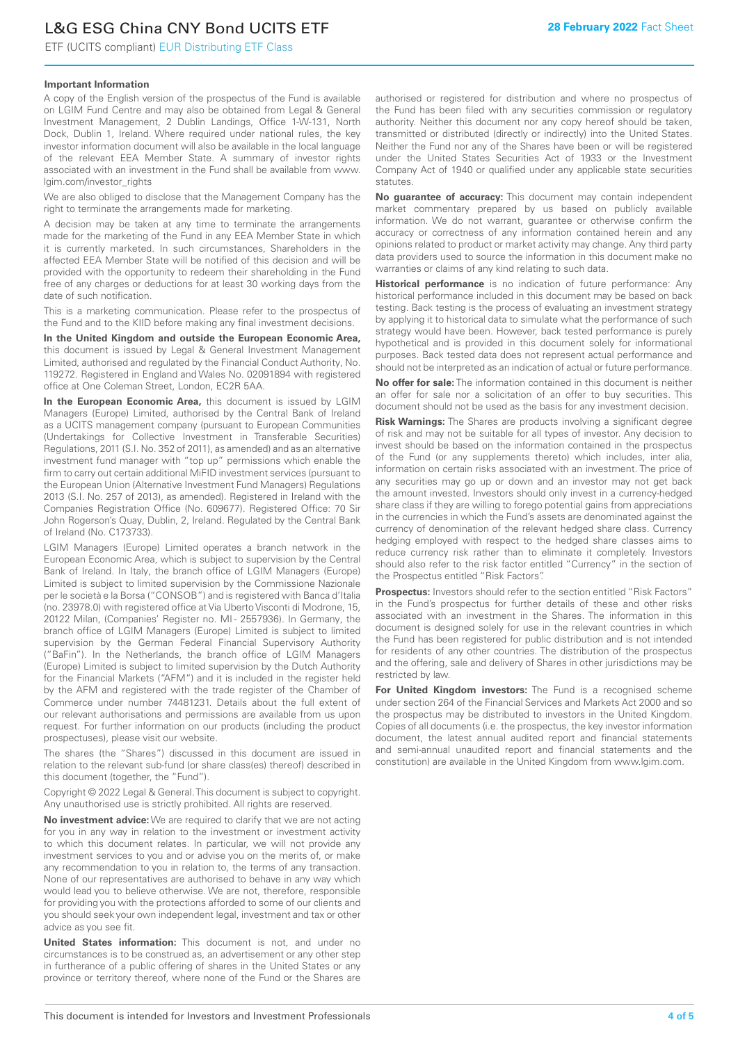## L&G ESG China CNY Bond UCITS ETF

ETF (UCITS compliant) EUR Distributing ETF Class

#### **Important Information**

A copy of the English version of the prospectus of the Fund is available on LGIM Fund Centre and may also be obtained from Legal & General Investment Management, 2 Dublin Landings, Office 1-W-131, North Dock, Dublin 1, Ireland. Where required under national rules, the key investor information document will also be available in the local language of the relevant EEA Member State. A summary of investor rights associated with an investment in the Fund shall be available from www. lgim.com/investor\_rights

We are also obliged to disclose that the Management Company has the right to terminate the arrangements made for marketing.

A decision may be taken at any time to terminate the arrangements made for the marketing of the Fund in any EEA Member State in which it is currently marketed. In such circumstances, Shareholders in the affected EEA Member State will be notified of this decision and will be provided with the opportunity to redeem their shareholding in the Fund free of any charges or deductions for at least 30 working days from the date of such notification.

This is a marketing communication. Please refer to the prospectus of the Fund and to the KIID before making any final investment decisions.

**In the United Kingdom and outside the European Economic Area,** this document is issued by Legal & General Investment Management Limited, authorised and regulated by the Financial Conduct Authority, No. 119272. Registered in England and Wales No. 02091894 with registered office at One Coleman Street, London, EC2R 5AA.

**In the European Economic Area,** this document is issued by LGIM Managers (Europe) Limited, authorised by the Central Bank of Ireland as a UCITS management company (pursuant to European Communities (Undertakings for Collective Investment in Transferable Securities) Regulations, 2011 (S.I. No. 352 of 2011), as amended) and as an alternative investment fund manager with "top up" permissions which enable the firm to carry out certain additional MiFID investment services (pursuant to the European Union (Alternative Investment Fund Managers) Regulations 2013 (S.I. No. 257 of 2013), as amended). Registered in Ireland with the Companies Registration Office (No. 609677). Registered Office: 70 Sir John Rogerson's Quay, Dublin, 2, Ireland. Regulated by the Central Bank of Ireland (No. C173733).

LGIM Managers (Europe) Limited operates a branch network in the European Economic Area, which is subject to supervision by the Central Bank of Ireland. In Italy, the branch office of LGIM Managers (Europe) Limited is subject to limited supervision by the Commissione Nazionale per le società e la Borsa ("CONSOB") and is registered with Banca d'Italia (no. 23978.0) with registered office at Via Uberto Visconti di Modrone, 15, 20122 Milan, (Companies' Register no. MI - 2557936). In Germany, the branch office of LGIM Managers (Europe) Limited is subject to limited supervision by the German Federal Financial Supervisory Authority ("BaFin"). In the Netherlands, the branch office of LGIM Managers (Europe) Limited is subject to limited supervision by the Dutch Authority for the Financial Markets ("AFM") and it is included in the register held by the AFM and registered with the trade register of the Chamber of Commerce under number 74481231. Details about the full extent of our relevant authorisations and permissions are available from us upon request. For further information on our products (including the product prospectuses), please visit our website.

The shares (the "Shares") discussed in this document are issued in relation to the relevant sub-fund (or share class(es) thereof) described in this document (together, the "Fund").

Copyright © 2022 Legal & General. This document is subject to copyright. Any unauthorised use is strictly prohibited. All rights are reserved.

**No investment advice:** We are required to clarify that we are not acting for you in any way in relation to the investment or investment activity to which this document relates. In particular, we will not provide any investment services to you and or advise you on the merits of, or make any recommendation to you in relation to, the terms of any transaction. None of our representatives are authorised to behave in any way which would lead you to believe otherwise. We are not, therefore, responsible for providing you with the protections afforded to some of our clients and you should seek your own independent legal, investment and tax or other advice as you see fit.

**United States information:** This document is not, and under no circumstances is to be construed as, an advertisement or any other step in furtherance of a public offering of shares in the United States or any province or territory thereof, where none of the Fund or the Shares are authorised or registered for distribution and where no prospectus of the Fund has been filed with any securities commission or regulatory authority. Neither this document nor any copy hereof should be taken, transmitted or distributed (directly or indirectly) into the United States. Neither the Fund nor any of the Shares have been or will be registered under the United States Securities Act of 1933 or the Investment Company Act of 1940 or qualified under any applicable state securities statutes.

**No guarantee of accuracy:** This document may contain independent market commentary prepared by us based on publicly available information. We do not warrant, guarantee or otherwise confirm the accuracy or correctness of any information contained herein and any opinions related to product or market activity may change. Any third party data providers used to source the information in this document make no warranties or claims of any kind relating to such data.

**Historical performance** is no indication of future performance: Any historical performance included in this document may be based on back testing. Back testing is the process of evaluating an investment strategy by applying it to historical data to simulate what the performance of such strategy would have been. However, back tested performance is purely hypothetical and is provided in this document solely for informational purposes. Back tested data does not represent actual performance and should not be interpreted as an indication of actual or future performance.

**No offer for sale:** The information contained in this document is neither an offer for sale nor a solicitation of an offer to buy securities. This document should not be used as the basis for any investment decision.

**Risk Warnings:** The Shares are products involving a significant degree of risk and may not be suitable for all types of investor. Any decision to invest should be based on the information contained in the prospectus of the Fund (or any supplements thereto) which includes, inter alia, information on certain risks associated with an investment. The price of any securities may go up or down and an investor may not get back the amount invested. Investors should only invest in a currency-hedged share class if they are willing to forego potential gains from appreciations in the currencies in which the Fund's assets are denominated against the currency of denomination of the relevant hedged share class. Currency hedging employed with respect to the hedged share classes aims to reduce currency risk rather than to eliminate it completely. Investors should also refer to the risk factor entitled "Currency" in the section of the Prospectus entitled "Risk Factors".

**Prospectus:** Investors should refer to the section entitled "Risk Factors" in the Fund's prospectus for further details of these and other risks associated with an investment in the Shares. The information in this document is designed solely for use in the relevant countries in which the Fund has been registered for public distribution and is not intended for residents of any other countries. The distribution of the prospectus and the offering, sale and delivery of Shares in other jurisdictions may be restricted by law.

**For United Kingdom investors:** The Fund is a recognised scheme under section 264 of the Financial Services and Markets Act 2000 and so the prospectus may be distributed to investors in the United Kingdom. Copies of all documents (i.e. the prospectus, the key investor information document, the latest annual audited report and financial statements and semi-annual unaudited report and financial statements and the constitution) are available in the United Kingdom from www.lgim.com.